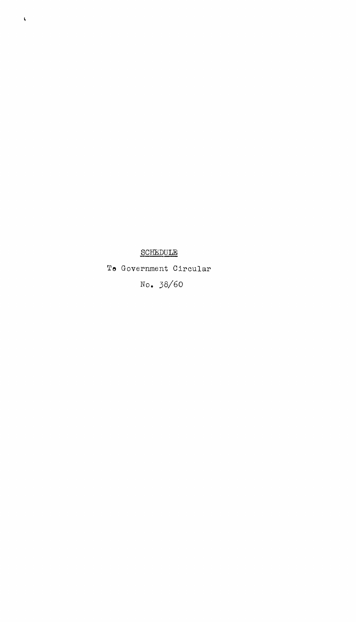## SCHEDULE

 $\bar{\mathbf{v}}$ 

To Government Circular No. 38/60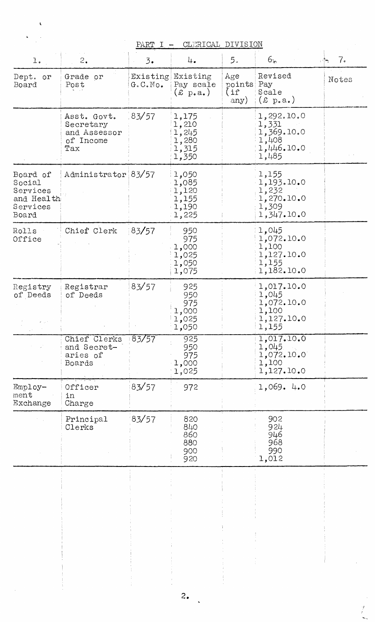|                                                                   |                                                              | PART I    | CLERICAL DIVISION<br>$\overline{\phantom{m}}$                 |                                 |                                                                   |                          |
|-------------------------------------------------------------------|--------------------------------------------------------------|-----------|---------------------------------------------------------------|---------------------------------|-------------------------------------------------------------------|--------------------------|
| $1. \,$                                                           | 2.                                                           | 3.        | 4.                                                            | 5.                              | 6r                                                                | 7 <sub>o</sub><br>$\sim$ |
| Dept. or<br>Board                                                 | Grade or<br>Post                                             | G. C. No. | Existing Existing<br>Pay scale<br>(x p.a.)                    | Age<br>points Pay<br>(i<br>any) | Revised<br>Scale<br>$(\pounds \; p \cdot a \cdot)$                | Notes                    |
|                                                                   | Asst. Govt.<br>Secretary<br>and Assessor<br>of Income<br>Tax | 83/57     | 1,175<br>1,210<br>1,245<br>1,280<br>1,315<br>1,350            |                                 | 1,292.10.0<br>1,331<br>1,369.10.0<br>1,408<br>1,446.10.0<br>1,485 |                          |
| Board of<br>Social<br>Services<br>and Health<br>Services<br>Board | Administrator 83/57                                          |           | 1,050<br>1,085<br>$\lfloor 1$ ,120<br>1,155<br>1,190<br>1,225 |                                 | 1,155<br>1,193.10.0<br>1,232<br>1,270.10.0<br>1,309<br>1,347.10.0 |                          |
| Rolls<br>Office                                                   | Chief Clerk                                                  | 83/57     | 950<br>975<br>1,000<br>1,025<br>1,050<br>1,075                |                                 | 1,045<br>1,072.10.0<br>1,100<br>1,127.10.0<br>1,155<br>1,182.10.0 |                          |
| Registry<br>of Deeds                                              | Registrar<br>of Deeds                                        | 83/57     | 925<br>950<br>975<br>000, 1<br>1,025<br>1,050                 |                                 | 1,017.10.0<br>1,045<br>1,072.10.0<br>1,100<br>1,127.10.0<br>1,155 |                          |
|                                                                   | Chief Clerks<br>and Secret-<br>aries of<br>Boards            | $-83/57$  | $\overline{925}$<br>950<br>975<br>1,000<br>1,025              |                                 | 1,017.10.0<br>1,045<br>1,072.10.0<br>1,100<br>1,127.10.0          |                          |
| Employ-<br>ment<br>Exchange                                       | Officer<br>in<br>Charge                                      | 83/57     | 972                                                           |                                 | 1,069.4.0                                                         |                          |
|                                                                   | Principal<br>Clerks                                          | 83/57     | 820<br>840<br>860<br>880<br>900<br>920                        |                                 | 902<br>924<br>946<br>968<br>990<br>1,012                          |                          |
|                                                                   |                                                              |           |                                                               |                                 |                                                                   |                          |
|                                                                   |                                                              |           |                                                               |                                 |                                                                   |                          |
|                                                                   |                                                              |           | 2.                                                            |                                 |                                                                   |                          |
|                                                                   |                                                              |           |                                                               |                                 |                                                                   |                          |

 $\ddot{\phantom{a}}$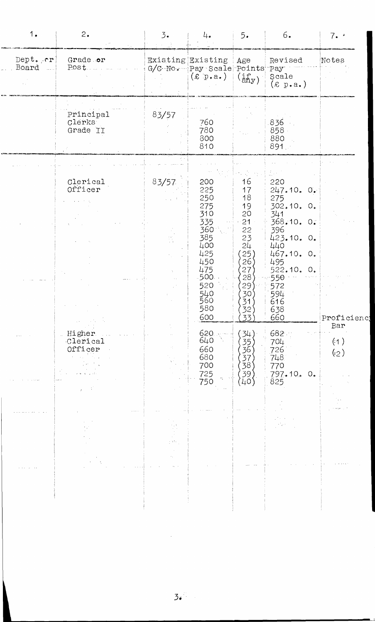| 1.                | 2.                                                                                                                      | 3.                    | 4.                                                                                                                           | 5.                                                                                                                          | 6.                                                                                                                                                                  | 7.4               |
|-------------------|-------------------------------------------------------------------------------------------------------------------------|-----------------------|------------------------------------------------------------------------------------------------------------------------------|-----------------------------------------------------------------------------------------------------------------------------|---------------------------------------------------------------------------------------------------------------------------------------------------------------------|-------------------|
| Dept. er<br>Board | Grade or<br>Post.                                                                                                       |                       | Existing Existing<br>G/C-No. Pay Scale Points<br>$(\texttt{\& p.a.})$                                                        | Age<br>$(i_{\text{a}\text{h}y})$                                                                                            | Revised<br>Pay<br>Scale<br>(x p.a.)                                                                                                                                 | Notes             |
|                   | Principal<br>Clerks<br>Grade II                                                                                         | 83/57                 | 760<br>780<br>800<br>810                                                                                                     |                                                                                                                             | 836<br>858<br>880<br>$891 -$                                                                                                                                        |                   |
|                   | Clerical<br>Officer                                                                                                     | 83/57                 | 200<br>225<br>250<br>275<br>310<br>335<br>360<br>385<br>400<br>425<br>450<br>475<br>.500.<br>520<br>540<br>560<br>580<br>600 | 16<br>17<br>18<br>19<br>20<br>21<br>22<br>23<br>24<br>25)<br>26)<br>27<br>28)<br>29 <sup>°</sup><br>30)<br>31<br>32'<br>33) | 220<br>247.10.0.<br>275<br>302.10. 0.<br>341<br>368.10. 0.<br>396<br>423.10. 0.<br>440<br>467.10. 0.<br>495<br>522.10. 0.<br>550<br>572<br>594<br>616<br>638<br>660 | Proficienc        |
|                   | $\epsilon$ .<br>and a control<br>Higher<br>Clerical<br>Officer<br>$\mathcal{L}_{\text{max}} = \mathcal{L}_{\text{max}}$ |                       | 620<br>640<br>660<br>680<br>700<br>725<br>750                                                                                | $-34$<br>35<br>36<br>37<br>38<br>( 39 )<br>( 40 )                                                                           | 682<br>704<br>726<br>748<br>770<br>797.10.0.<br>825                                                                                                                 | Bar<br>(1)<br>(2) |
|                   |                                                                                                                         | $\frac{1}{2}$ , where |                                                                                                                              |                                                                                                                             | 19 M                                                                                                                                                                |                   |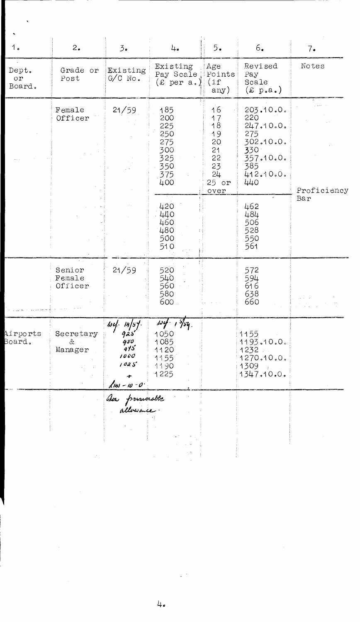| 1 <sub>o</sub>               | 2.                          | 3.5                                                    | 4.                                                                       | 5.                                                                    | 6.                                                                                               | 7.          |
|------------------------------|-----------------------------|--------------------------------------------------------|--------------------------------------------------------------------------|-----------------------------------------------------------------------|--------------------------------------------------------------------------------------------------|-------------|
| Dept.<br>$\circ r$<br>Board. | Grade or<br>Post            | Existing<br>$G/C$ No.                                  | Existing<br>Pay Scale<br>$(E \text{ per a.})$ (if                        | Age<br>Points<br>any)                                                 | Revised<br>Pay<br>Scale<br>$(x \text{ p.a.})$                                                    | Notes       |
|                              | Female<br>Officer           | 21/59                                                  | 185<br>200<br>225<br>250<br>275<br>300<br>325<br>350<br>375<br>400       | 16<br>17<br>18<br>19<br>20<br>21<br>22<br>23<br>24<br>$25$ or<br>over | 203.10.0.<br>220<br>247.10.0.<br>275<br>302.10.0.<br>330<br>357.10.0.<br>385<br>412.10.0.<br>440 | Proficiency |
|                              |                             |                                                        | 420<br>440<br>460<br>480<br>500<br>510                                   |                                                                       | 462<br>484<br>506<br>528<br>550<br>561                                                           | Bar         |
|                              | Senior<br>Female<br>Officer | 21/59                                                  | 520<br>540<br>560<br>580<br>$600 -$                                      |                                                                       | 572<br>594<br>616<br>638<br>660                                                                  |             |
| Airports<br>Board.           | Secretary<br>&.<br>Manager  | $\frac{log(-14/5)}{9a5}$<br>950<br>415<br>1000<br>1025 | $\omega$<br>$1^{57}$ sq.<br>1050<br>1085<br>1120<br>1155<br>1190<br>1225 |                                                                       | 1155<br>1193.10.0.<br>1232.<br>1270.10.0.<br>1309<br>1347.10.0.                                  |             |
|                              |                             | 1m - 10 - 0<br>2m - presecuto                          |                                                                          |                                                                       |                                                                                                  |             |

 $\sqrt{2}$ 

 $\sim 10^{11}$ 

 $\label{eq:2} \frac{1}{2} \int_{\mathbb{R}^3} \frac{1}{\sqrt{2}} \, \frac{1}{\sqrt{2}} \, \frac{1}{\sqrt{2}} \, \frac{1}{\sqrt{2}} \, \frac{1}{\sqrt{2}} \, \frac{1}{\sqrt{2}} \, \frac{1}{\sqrt{2}} \, \frac{1}{\sqrt{2}} \, \frac{1}{\sqrt{2}} \, \frac{1}{\sqrt{2}} \, \frac{1}{\sqrt{2}} \, \frac{1}{\sqrt{2}} \, \frac{1}{\sqrt{2}} \, \frac{1}{\sqrt{2}} \, \frac{1}{\sqrt{2}} \, \frac{1}{\sqrt{2}} \, \frac$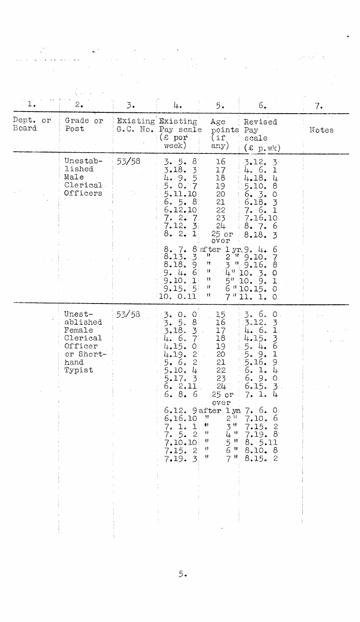| 1.                | 2.                                                                                 | $\overline{3}$ . | 4.                                                                                                                                                                                                                                                                                                       | 5.                                                                                                                                                                                                                           | 6.                                                                                                                                                                                                                                                                                                                                  | 7.    |
|-------------------|------------------------------------------------------------------------------------|------------------|----------------------------------------------------------------------------------------------------------------------------------------------------------------------------------------------------------------------------------------------------------------------------------------------------------|------------------------------------------------------------------------------------------------------------------------------------------------------------------------------------------------------------------------------|-------------------------------------------------------------------------------------------------------------------------------------------------------------------------------------------------------------------------------------------------------------------------------------------------------------------------------------|-------|
| Dept. or<br>Board | Grade or<br>Post                                                                   |                  | Existing Existing<br>G.C. No. Pay scale<br>$\mathbb{R}$ or $\mathbb{R}$<br>week)                                                                                                                                                                                                                         | Age<br>points<br>(if<br>any)                                                                                                                                                                                                 | Revised<br>Pay<br>scale<br>$(x p_w)$                                                                                                                                                                                                                                                                                                | Notes |
|                   | Unestab-<br>lished<br>Male<br>Clerical<br>Officers                                 | 53/58            | 3.5.<br>-8<br>3.18.<br>$\mathcal{Z}^{\perp}$<br>$5^{\circ}$<br>9.<br>⊥բ.<br>5.<br>$\circ$ .<br>$\cdot 7 \cdot$<br>5.11.10<br>6.5.8<br>6.12.10<br>$7.2$ .<br>-71<br>7.12.<br>$\mathcal{Z}$<br>8.2.<br>ŀ.<br>8.7.<br>3:<br>8.13.<br>8.18.<br>-91<br>9.4.6<br>9.10.<br>$\mathbb{I}$ :<br>9.15.5<br>10. 0.11 | 16<br>17<br>18<br>19<br>20<br>21<br>22<br>23<br>24<br>25 or<br>over<br>$8$ after $1 \text{ yr}.9.4$ .<br>$\mathbf{u}$<br>Ħ<br>3<br>$\boldsymbol{\mathsf{H}}$<br>$\pmb{\mathfrak{m}}$<br>5"<br>Ħ<br>$\boldsymbol{\mathsf{H}}$ | 3.12.3<br>4. 6. 1<br>4.18. 4<br>5.10.<br>8<br>6.3.<br>$\circ$<br>6.18.<br>$\overline{3}$<br>7.6.1<br>7.16.10<br>8.7.<br>-6<br>8.18.3<br>$\circ$<br>$2$ " $9.10.$<br>$-7$<br>9.16.<br>8<br>$4^{\prime\prime}$ 10. 3.<br>$\circ$<br>10. 9.<br>$\mathbf{T}$<br>$6$ $"10.15.$<br>$\circ$<br>$7$ <sup><math>11.1</math></sup><br>$\circ$ |       |
|                   | Unest-<br>ablished<br>Female<br>Clerical<br>Officer<br>or Short-<br>hand<br>Typist | 53/58            | 3. 0.<br> O <br>$\overline{3}$ .<br>5.<br>$81$<br>3.18.<br>3 <sup>1</sup><br>4. 6.<br>$\overline{7}$<br>4.15.<br>$\mathsf{O}$<br>4.19.<br>$2^{\degree}$ .<br>$\overline{2}$<br>5.6.<br>5.10.4<br>5.17.3<br>6. 2.11<br>6.8.6<br>6.16.10<br>7. 1. 1<br>7.5.2<br>7.10.10<br>7.15.2<br>7.19.3                | 15 <sub>1</sub><br>16<br>17<br>18<br>19<br>20<br>21<br>22<br>23<br>24<br>$25$ or<br>over<br>11,<br>2 <sup>11</sup><br>$3$ <sup>11</sup><br>Ħ<br>4 "<br>11<br>$\frac{5}{6}$<br>- 11<br>11<br>$\mathbf{H}_j$<br>Ħ<br>7世<br>Ħ   | 3.6.<br>$\circ$<br>3.12.<br>3<br>4. 6.<br>$\mathbf{L}$<br>$4.15.$<br>5. 4.<br>$\frac{3}{6}$<br>5.<br>9.<br>1<br>5.16.<br>9<br>6.<br>$\mathbbm{1}$ .<br>LL.<br>6. 9.<br>$\circ$<br>6.15.3<br>7.1.4<br>6.12. 9 after 1 yr. 7. 6. 0<br>7.10.<br>-6<br>7.15.<br>$\overline{c}$<br>7.19. 8<br>8. 5.11<br>8.10. 8<br>8.15.2               |       |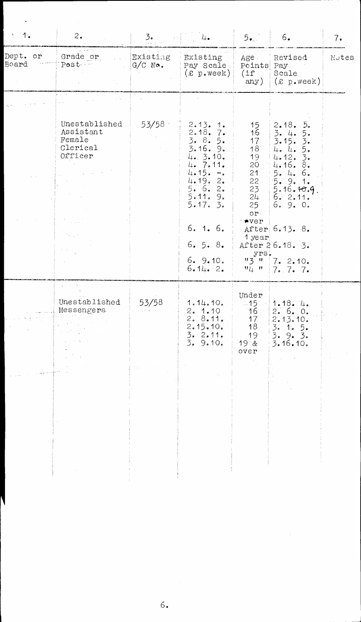| 1 <sub>o</sub>                                              | $\dot{2}$ .                                                 | $\mathcal{F}_{\bullet}$ | 4.                                                                                                                                                                   | 5.1                                                                                                                                          | 6.                                                                                                                                                                                                           | 7.    |
|-------------------------------------------------------------|-------------------------------------------------------------|-------------------------|----------------------------------------------------------------------------------------------------------------------------------------------------------------------|----------------------------------------------------------------------------------------------------------------------------------------------|--------------------------------------------------------------------------------------------------------------------------------------------------------------------------------------------------------------|-------|
| Dept. or<br>Board                                           | Grade or<br>Post -                                          | Existing<br>$G/C$ No.   | Existing<br>Pay Scale<br>$(x)$ p.week)                                                                                                                               | Age -<br>Points Pay<br>$(i\mathrm{f})$<br>any)                                                                                               | Revised<br>Scale<br>(x, p, week)                                                                                                                                                                             | Notes |
| $\mathcal{E}_{\mathcal{A}}$ , $\mathcal{E}_{\mathcal{A}}$ , |                                                             |                         |                                                                                                                                                                      |                                                                                                                                              |                                                                                                                                                                                                              |       |
|                                                             | Unestablished<br>Assistant<br>Female<br>Clerical<br>Officer | 53/58                   | 2.13.1<br>2.18.7.<br>3.8.5.<br>3.16.9.<br>4.3.10.<br>4. 7.11.<br>4.15.<br>$-$ .<br>4.19.2.<br>5.6.2.<br>5.11.9.<br>5.17.5.<br>6.1.6.<br>6.5.8.<br>6.9.10.<br>6.14.2. | 15<br>16<br>17<br>18<br>19<br>20<br>21<br>22<br>23<br>24<br>25<br>or<br>$\rightarrow$ $\bullet$ $\text{ver}$<br>1 year<br>yrs.<br>"3"<br>"4" | 2.18.5<br>3.4.<br>5.<br>3.15.3.<br>4.4.<br>5.<br>$\overline{3}$ .<br>4.12.<br>4.16.8.<br>5.4.6.<br>$5.9.1.$<br>$5.16.10.9$<br>$6.2.11.$<br>6.9.0.<br>After 6.13. 8.<br>After 26.18. 3.<br>7.2.10.<br>7.7.7.7 |       |
|                                                             | Unestablished<br>Messengers                                 | 53/58                   | 1.14.10.<br>2.1.10<br>2.8.11.<br>2.15.10.<br>3.2.11.<br>3.9.10.                                                                                                      | Under<br>$-15$<br>16<br>17<br>18<br>19<br>$19 \&$<br>overer                                                                                  | 1.18.4.<br>2.6.0.<br>2.13.10.<br>$\frac{3}{3}$ , 1. 5.<br>$\frac{5}{3}$ , 9. 3.<br>3.16.10.                                                                                                                  |       |
|                                                             |                                                             |                         |                                                                                                                                                                      |                                                                                                                                              |                                                                                                                                                                                                              |       |

 $\ddot{\phantom{0}}$ 

6.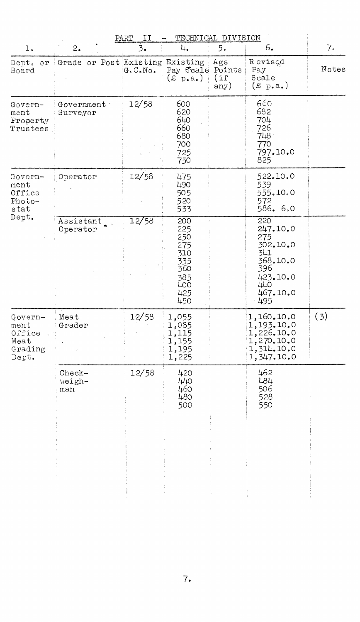|                                                                   |                                    | II<br>PART       |                                                                           | TECHNICAL DIVISION       |                                                                                                    |       |
|-------------------------------------------------------------------|------------------------------------|------------------|---------------------------------------------------------------------------|--------------------------|----------------------------------------------------------------------------------------------------|-------|
| 1.                                                                | 2.                                 | $\overline{3}$ . | 4.                                                                        | 5.                       | 6.                                                                                                 | 7.    |
| Dept.<br>Board                                                    | or Grade or Post Existing Existing | G. C. No.        | Pay Scale Points<br>$(x_p.a.)$                                            | Age<br>$\int$ if<br>any) | Revised<br>Pay<br>Scale<br>$(\pounds \; p.a.)$                                                     | Notes |
| Govern-<br>ment<br>Property<br>Trustees                           | Government<br>Surveyor             | 12/58            | 600<br>620<br>640<br>660<br>680<br>700<br>725<br>750                      |                          | 660<br>682<br>704<br>726.<br>748.<br>770<br>797.10.0<br>825                                        |       |
| Govern-<br>ment<br>Office<br>Photo-<br>stat<br>$\texttt{Depth}$ . | Operator                           | 12/58            | 475<br>490<br>505<br>520<br>533                                           |                          | 522.10.0<br>539<br>555.10.0<br>572<br>586.6.0                                                      |       |
|                                                                   | Assistant<br>Operator              | 12/58            | 200<br>225<br>250<br>275<br>310<br>335<br>360<br>385<br>400<br>425<br>450 |                          | 220<br>247.10.0<br>275<br>302.10.0<br>341<br>368.10.0<br>396<br>423.10.0<br>440<br>467.10.0<br>495 |       |
| Govern-<br>ment<br>Office<br>Meat<br>Grading<br>Dept.             | Meat<br>Grader                     | 12/58            | 1,055<br>1,085<br>1,115<br>1,155<br>1,195<br>1,225                        |                          | 1,160.10.0<br>1,193.10.0<br>1,226.10.0<br>1,270.10.0<br>1,314.10.0<br>1,347.10.0                   | (3)   |
|                                                                   | Check-<br>weigh-<br>man            | 12/58            | 420<br>440<br>460<br>480<br>500                                           |                          | 462<br>484<br>506<br>528<br>550                                                                    |       |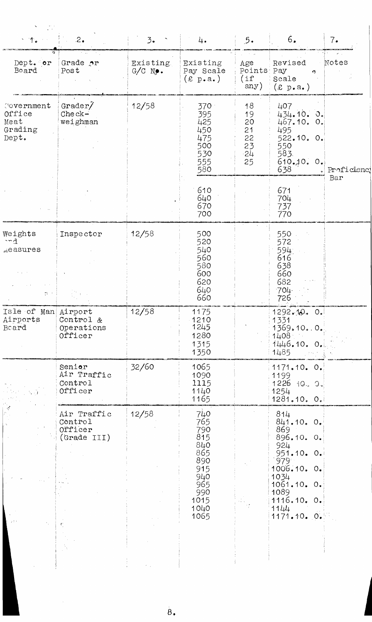| $\sim$ 1.                                        | 2.                                                     | 3.5                   | 4.                                                                                                | 5.                                              | 6.                                                                                                                                               | 7.                          |
|--------------------------------------------------|--------------------------------------------------------|-----------------------|---------------------------------------------------------------------------------------------------|-------------------------------------------------|--------------------------------------------------------------------------------------------------------------------------------------------------|-----------------------------|
| Dept. or<br>Board                                | Grade or<br>Post                                       | Existing<br>$G/C$ No. | Existing<br>Pay Scale<br>$(\text{\textsterling p.a.})$                                            | Age<br>Points Pay<br>(if<br>any)                | Revised<br>$\tilde{\mathbf{C}}$<br>Scale<br>(x p.a.)                                                                                             | $\omega_{\rm max}$<br>Notes |
| Covernment<br>Office<br>Meat<br>Grading<br>Dept. | Grader/<br>$Check-$<br>weighman                        | 12/58                 | 370<br>395<br>425<br>450<br>475<br>500<br>530<br>555<br>580                                       | 18<br>19<br>20<br>21<br>22<br>23<br>$-24$<br>25 | 407<br>$434.10.0$ .<br>467.10.0.<br>495<br>522.10. 0.<br>550<br>583.<br>610.10.0.<br>638                                                         | Proficienc!<br>Bar          |
|                                                  |                                                        |                       | 610<br>640<br>670<br>700                                                                          |                                                 | 671<br>704<br>737<br>770                                                                                                                         |                             |
| Weights<br>~nd<br>weasures<br>n r                | Inspector                                              | 12/58                 | 500<br>520<br>540<br>560<br>580<br>600<br>620<br>640<br>660                                       |                                                 | 550<br>572<br>594.<br>616<br>638<br>660<br>682<br>$704 -$<br>726                                                                                 |                             |
| Isle of Man Airport<br>Airports<br>Beard         | Control &<br>Operations<br>Officer                     | 12/58                 | 1175<br>$-1210$<br>1245<br>1280<br>1315<br>1350                                                   |                                                 | 1292.10.0<br>1331<br>1369.10.0.<br>$1408$ . The set of $\sim$<br>1446.10.0.<br>1485                                                              |                             |
|                                                  | Senior<br>Air Traffic<br>Control<br>Officer            | 32/60                 | 1065<br>1090<br>1115<br>1140<br>1165                                                              |                                                 | 1171.10.0.<br>1199<br>$1226$ 10. 0.<br>1254<br>1281.10.0.                                                                                        |                             |
|                                                  | Air Traffic<br>Control<br>Officer<br>(Grade III)<br>ŧ. | 12/58                 | 740<br>765<br>790<br>815<br>840<br>865<br>890<br>915<br>940<br>965<br>990<br>1015<br>1040<br>1065 |                                                 | 814<br>841.10.0.<br>869<br>896.10. 0.<br>924<br>951.10.0.<br>979<br>1006.10.0.<br>1034<br>1061.10.0.<br>1089<br>1116.10.0.<br>1144<br>1171.10.0. |                             |
|                                                  |                                                        |                       |                                                                                                   |                                                 |                                                                                                                                                  |                             |

 $\overset{\cdot}{\mathbf{8}}$ .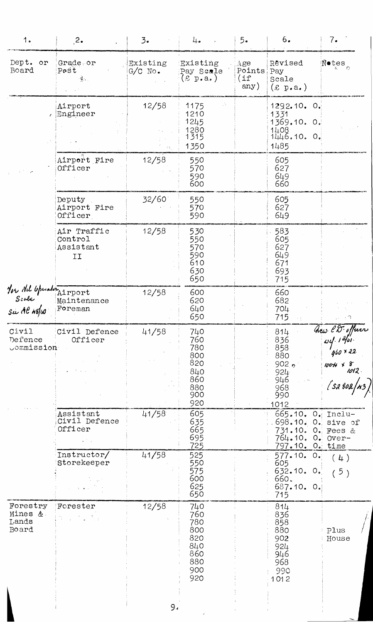| Grade or<br>Post<br>$\mathcal{R}_{\rm{max}}$<br>Airport<br>Engineer<br>Airport Fire<br>Officer<br>Deputy<br>Airport Fire<br>Officer<br>Air Traffic<br>Control<br>Assistant<br>II<br>You All Upunturairport<br>Scale Mainten<br>Su Al 119/40 Foreman<br>Maintenance | Existing<br>$G/C$ No.<br>12/58<br>$\mathcal{F}(\xi)$<br>12/58<br>32/60<br>12/58 | Existing<br>Pay Scale<br>$(\pounds \; p.a.)$<br>A,<br>1175<br>1210<br>1245<br>1280<br>1315<br>1350<br>550<br>570<br>590<br>600<br>550<br>570<br>590<br>530<br>550<br>570<br>590<br>610<br>630 | Age<br>Points Pay<br>$\mathfrak{inf}% \left( \mathfrak{m}\right) \equiv\mathfrak{m}^{\prime}(\mathfrak{m})$<br>any) | Revised<br>Scale<br>$(\text{\textsterling p.a.})$<br>1292.10.<br>$\circ$ .<br>1331<br>1369.10.0.<br>$1408$<br>$1446.10.0.$<br>1485<br>605<br>627<br>649<br>660<br>605<br>627<br>649<br>583<br>605<br>627<br>649 | N•tes<br>∷                                                                                                                                                                                |
|--------------------------------------------------------------------------------------------------------------------------------------------------------------------------------------------------------------------------------------------------------------------|---------------------------------------------------------------------------------|-----------------------------------------------------------------------------------------------------------------------------------------------------------------------------------------------|---------------------------------------------------------------------------------------------------------------------|-----------------------------------------------------------------------------------------------------------------------------------------------------------------------------------------------------------------|-------------------------------------------------------------------------------------------------------------------------------------------------------------------------------------------|
|                                                                                                                                                                                                                                                                    |                                                                                 |                                                                                                                                                                                               |                                                                                                                     |                                                                                                                                                                                                                 |                                                                                                                                                                                           |
|                                                                                                                                                                                                                                                                    |                                                                                 |                                                                                                                                                                                               |                                                                                                                     |                                                                                                                                                                                                                 |                                                                                                                                                                                           |
|                                                                                                                                                                                                                                                                    |                                                                                 |                                                                                                                                                                                               |                                                                                                                     |                                                                                                                                                                                                                 |                                                                                                                                                                                           |
|                                                                                                                                                                                                                                                                    |                                                                                 |                                                                                                                                                                                               |                                                                                                                     |                                                                                                                                                                                                                 |                                                                                                                                                                                           |
|                                                                                                                                                                                                                                                                    |                                                                                 | 650                                                                                                                                                                                           |                                                                                                                     | 671<br>693<br>715                                                                                                                                                                                               |                                                                                                                                                                                           |
|                                                                                                                                                                                                                                                                    | 12/58                                                                           | 600<br>620<br>640<br>650                                                                                                                                                                      |                                                                                                                     | 660<br>682<br>704<br>715                                                                                                                                                                                        | $\tau$ $\cap$                                                                                                                                                                             |
| Civil Defence<br>Officer                                                                                                                                                                                                                                           | 41/58                                                                           | 740<br>760<br>780<br>800<br>820<br>840<br>860<br>880<br>900                                                                                                                                   |                                                                                                                     | 814<br>836<br>858<br>880<br>902 <sub>0</sub><br>$924 -$<br>946<br>968<br>990                                                                                                                                    | $\frac{a}{\omega}$ $\frac{1}{\omega}$ $\frac{1}{\omega}$ $\frac{1}{\omega}$ $\frac{1}{\omega}$ $\frac{1}{\omega}$ $\frac{1}{\omega}$ $\frac{1}{\omega}$<br>$1004$ x 8<br>1012.<br>[sa 80a |
| Assistant<br>Civil Defence<br>Officer                                                                                                                                                                                                                              | 41/58                                                                           | 605<br>635<br>665<br>695                                                                                                                                                                      |                                                                                                                     | 665.10. O. Inclu-<br>698.10.<br>731.10.<br>764.10.                                                                                                                                                              | $0$ . sive of<br>O. Fees &<br>$0$ . $0ver-$                                                                                                                                               |
| Instructor/<br>Storekeeper<br>$\mathbf{r}=\mathbf{q}$ .                                                                                                                                                                                                            | 41/58                                                                           | 525<br>550<br>575<br>600<br>625                                                                                                                                                               |                                                                                                                     | 577.10.0.<br>605<br>632.10.0.<br>660.<br>687.10.0.                                                                                                                                                              | (4)<br>5)                                                                                                                                                                                 |
| Forester                                                                                                                                                                                                                                                           | 12/58                                                                           | 740<br>760<br>780<br>800<br>820<br>840<br>860<br>880<br>900<br>920                                                                                                                            |                                                                                                                     | 814<br>836<br>858<br>880<br>902<br>924<br>946<br>968<br>990<br>1012                                                                                                                                             | Plus<br>House                                                                                                                                                                             |
|                                                                                                                                                                                                                                                                    |                                                                                 |                                                                                                                                                                                               | 920<br>725<br>650<br>9.                                                                                             |                                                                                                                                                                                                                 | 1012<br>797.10. O. time<br>715                                                                                                                                                            |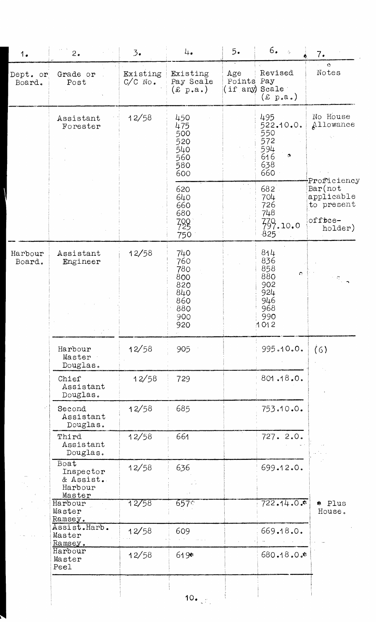| 1.                 | 2.                                                  | 3.                    | 4.                                                                 | 5.                                  | 6.<br>$\frac{1}{\sqrt{2}}$                                                       | 7.                                                           |
|--------------------|-----------------------------------------------------|-----------------------|--------------------------------------------------------------------|-------------------------------------|----------------------------------------------------------------------------------|--------------------------------------------------------------|
| Dept. or<br>Board. | Grade or<br>Post                                    | Existing<br>$C/C$ No. | Existing<br>Pay Scale<br>$\pounds$ p.a.)                           | Age<br>Points Pay<br>(if any) Scale | Revised<br>$(x_{\text{p.a.}})$                                                   | $\bullet$<br>Notes                                           |
|                    | Assistant<br>Forester                               | 12/58                 | 450<br>475<br>500<br>520<br>540<br>560<br>580<br>600               |                                     | 495<br>522.10.0.<br>550<br>572<br>594<br>616<br>ç,<br>638<br>660                 | No House<br>Allowance<br>Proficiency                         |
|                    |                                                     |                       | 620<br>640<br>660<br>680<br>728<br>750                             |                                     | 682<br>704<br>726<br>748<br>739.10.0<br>825                                      | $Bar($ not<br>applicable<br>to present<br>office-<br>holder) |
| Harbour<br>Board.  | Assistant<br>Engineer                               | 12/58                 | 740<br>760<br>780<br>800<br>820<br>840<br>860<br>880<br>900<br>920 |                                     | 814<br>836<br>858<br>$\bullet$<br>880<br>902<br>924<br>946<br>968<br>990<br>1012 | $\frac{1}{2}$ . $\frac{1}{2}$                                |
|                    | Harbour<br>Master<br>Douglas.                       | 12/58                 | 905                                                                |                                     | 995.10.0.                                                                        | (6)                                                          |
|                    | Chief<br>Assistant<br>Douglas.                      | 12/58                 | 729                                                                |                                     | 801.18.0.                                                                        |                                                              |
|                    | Second<br>Assistant<br>Douglas.                     | 12/58                 | 685                                                                |                                     | 753.10.0.                                                                        |                                                              |
|                    | Third<br>Assistant<br>Douglas.                      | 12/58                 | 661                                                                |                                     | 727. 2.0.                                                                        |                                                              |
|                    | Boat<br>Inspector<br>& Assist.<br>Harbour<br>Master | 12/58                 | 636                                                                |                                     | 699.12.0.                                                                        |                                                              |
|                    | Harbour<br>Master<br>Ramsey.                        | 12/58                 | 657:                                                               |                                     | $722.14.0$ .                                                                     | * Plus<br>House.                                             |
|                    | Assist.Harb.<br>Master<br>Ramsey.                   | 12/58                 | 609                                                                |                                     | 669.18.0.                                                                        |                                                              |
|                    | Harbour<br>Master<br>Peel                           | 12/58                 | $619*$                                                             |                                     | 680.18.0%                                                                        |                                                              |
|                    |                                                     |                       | $10_{\bullet}$                                                     |                                     |                                                                                  |                                                              |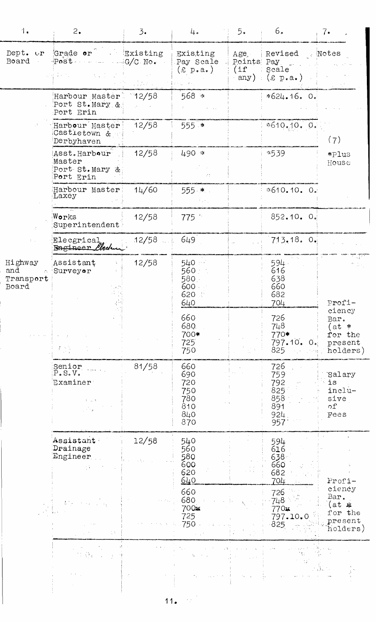| 1.                                         | 2.                                                                                                                                                                               | $\overline{3}$ . | 4.                                                   | 5.                 | 6.                                                           | 7.                                                        |
|--------------------------------------------|----------------------------------------------------------------------------------------------------------------------------------------------------------------------------------|------------------|------------------------------------------------------|--------------------|--------------------------------------------------------------|-----------------------------------------------------------|
| Board                                      | Dept. or Grade or Existing<br>Post<br>$\mathcal{L}^{\mathcal{A}}(\mathcal{A})$ , $\mathcal{L}^{\mathcal{A}}(\mathcal{A})$ , $\mathcal{L}^{\mathcal{A}}(\mathcal{A})$<br>- 国家 100 | $\cdots$ G/C No. | Existing<br>Pay Scale<br>$(E \text{ p.a.})$          | Points Pay<br>(1f) | Age Revised<br>Scale<br>any) $(\varepsilon p.a.)$            | Notes                                                     |
|                                            | Harbour Master<br>Port St. Mary &<br>Port Erin                                                                                                                                   | 12/58            | $568 *$                                              |                    | $*624.16.0.$                                                 |                                                           |
|                                            | Harbour Master<br>Castietown &<br>Derbyhaven                                                                                                                                     | 12/58            | $555$ *                                              |                    | $*610, 10, 0.$                                               | (7)                                                       |
| Highway<br>and<br>A.<br>Transport<br>Board | Asst.Harbour<br>Master<br>Port St. Mary &<br>Port Erin                                                                                                                           | 12/58            | 490 *<br>Иt.                                         |                    | \$539                                                        | *Plus<br>House                                            |
|                                            | Harbour Master<br>Laxey                                                                                                                                                          | 14/60            | 555 *                                                |                    | \$610.10.01                                                  |                                                           |
|                                            | Works<br>Superintendent                                                                                                                                                          | 12/58            | 775 *                                                |                    | 852.10.0                                                     |                                                           |
|                                            | Elecgrical<br>Bagineer <i>Eled</i> u                                                                                                                                             | 12/58            | 649                                                  |                    | 713.18.0                                                     |                                                           |
|                                            | Assistant<br>Surveyor                                                                                                                                                            | 12/58            | 540 ···<br>∶ 560<br>580. G<br>600.<br>620<br>640     |                    | 594.<br>616<br>638<br>660<br>682<br>704                      | i sili<br>$\Omega_{\rm{max}}^{(1)}$ .<br>Profi-           |
|                                            |                                                                                                                                                                                  |                  | 660<br>680<br>700*<br>725<br>750                     |                    | 726<br>748<br>770*<br>797.10.<br>$\mathsf{O} \bullet$<br>825 | ciency<br>Bar.<br>(at *<br>for the<br>present<br>holders) |
|                                            | Senior<br>P.S.V.<br>Examiner<br>t in                                                                                                                                             | 81/58            | 660<br>690<br>720<br>750<br>780<br>810<br>840<br>870 |                    | 726<br>759<br>792<br>825<br>858<br>891<br>924<br>957         | Salary<br>is<br>inclu-<br>sive<br>$\circ$ f<br>Fees       |
|                                            | $\mathtt{Assistant}$<br>Drainage<br>$\mathbb{E}$ ngineer<br>15                                                                                                                   | 12/58            | 540<br>560<br>580<br>600<br>620<br><u>640</u>        |                    | 594<br>616<br>638<br>660<br>682<br>704                       | Profi-                                                    |
|                                            |                                                                                                                                                                                  |                  | 660<br>680<br>700 <sub>3</sub><br>725<br>750         |                    | 726<br>748.<br>770x<br>797.10.0<br>825                       | ciency<br>Bar.<br>(at #<br>for the<br>present<br>holders) |
|                                            | $\sim 50\,\mathrm{s}$                                                                                                                                                            |                  |                                                      |                    |                                                              |                                                           |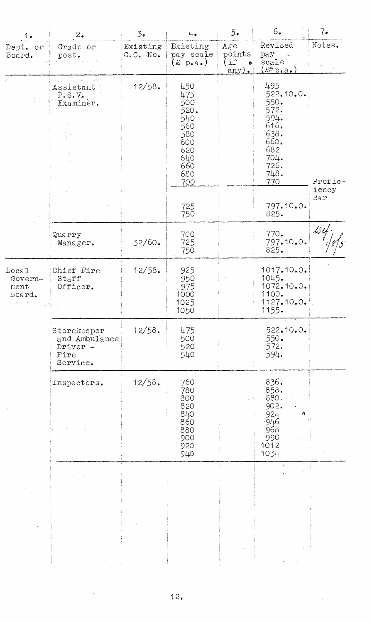| 1.                                 | 2.                                                                      | 3.5                                   | 4.                                                                                       | 5.                                            | 6.                                                                                                     | 7.               |
|------------------------------------|-------------------------------------------------------------------------|---------------------------------------|------------------------------------------------------------------------------------------|-----------------------------------------------|--------------------------------------------------------------------------------------------------------|------------------|
| Dept. or<br>Board.                 | Grade or<br>post.                                                       | Existing<br>$G \bullet C \bullet$ No. | Existing<br>pay scale<br>$(\text{\pounds p.a.})$                                         | Age<br>points<br>$($ if<br>$\bullet$<br>any). | Revised<br>pay<br>scale<br>$(\mathbf{f}^n p \cdot a_*)$                                                | Notes.           |
|                                    | Assistant<br>P.S.V.<br>Examiner.                                        | .12/58.                               | 450<br>475<br>500<br>520.<br>540<br>560<br>580<br>600<br>620<br>640<br>660<br>680<br>700 |                                               | 495<br>522.10.0.<br>550.<br>572.<br>594.<br>616.<br>638.<br>660.<br>682<br>704.<br>726.<br>748.<br>770 | Profic-<br>iency |
|                                    |                                                                         |                                       | 725<br>750                                                                               |                                               | 797.10.0.<br>825.                                                                                      | Bar              |
|                                    | Quarry<br>Manager.                                                      | 32/60.                                | 700<br>725<br>750                                                                        |                                               | 770.<br>797.10.0.<br>825.                                                                              | $\mathcal L$ es  |
| Local<br>Govern-<br>ment<br>Board. | Chief Fire<br>Staff<br>Officer.                                         | 12/58.                                | 925<br>950<br>975<br>1000<br>1025<br>1050                                                |                                               | 1017.10.0.<br>1045.<br>1072.10.0.<br>1100.<br>1127.10.0.<br>1155.                                      |                  |
|                                    | Storekeeper<br>and Ambulance<br>Driver <sup>-</sup><br>Fire<br>Service. | 12/58.                                | 475<br>500<br>520<br>540                                                                 |                                               | 522.10.0.<br>550.<br>572.<br>594.                                                                      |                  |
|                                    | Inspectors.                                                             | 12/58.                                | 760<br>780<br>800<br>820<br>840<br>860<br>880<br>900<br>920<br>940                       |                                               | 836.<br>858.<br>880.<br>902.<br>924<br>$-946$<br>968<br>990<br>1012<br>1034                            |                  |
|                                    | $\Delta \sim 10^{-1}$                                                   |                                       |                                                                                          |                                               |                                                                                                        |                  |

 $\label{eq:2} \frac{1}{\sqrt{2\pi}}\frac{1}{\sqrt{2\pi}}\frac{1}{\sqrt{2\pi}}\frac{1}{\sqrt{2\pi}}\frac{1}{\sqrt{2\pi}}\frac{1}{\sqrt{2\pi}}\frac{1}{\sqrt{2\pi}}\frac{1}{\sqrt{2\pi}}\frac{1}{\sqrt{2\pi}}\frac{1}{\sqrt{2\pi}}\frac{1}{\sqrt{2\pi}}\frac{1}{\sqrt{2\pi}}\frac{1}{\sqrt{2\pi}}\frac{1}{\sqrt{2\pi}}\frac{1}{\sqrt{2\pi}}\frac{1}{\sqrt{2\pi}}\frac{1}{\sqrt{2\pi}}\frac{1}{\sqrt{2$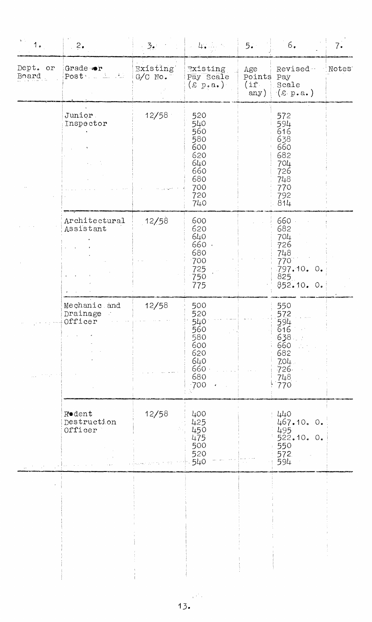| 1.                | 2.                                      | $3\bullet$            | $\sim 4$ . Fig. , the field of $\sim$                                            | 5.                           | $6.$                                                                             | 7.                 |
|-------------------|-----------------------------------------|-----------------------|----------------------------------------------------------------------------------|------------------------------|----------------------------------------------------------------------------------|--------------------|
| Dept. or<br>Board | Grade or<br>Post Later Mar              | Existing<br>$G/C$ No. | Existing<br>Pay Scale<br>$(\text{\pounds p.a.})$                                 | Age<br>Points<br>(i)<br>any) | Revised-<br>Pay<br>Scale<br>$(\varepsilon p.a.)$                                 | Notes <sup>®</sup> |
|                   | Junior<br>Inspector                     | 12/58                 | 520<br>540<br>560<br>580<br>600<br>620<br>640<br>660<br>680<br>700<br>720<br>740 |                              | 572<br>594<br>616<br>638<br>660<br>682<br>704<br>726<br>748<br>770<br>792<br>814 |                    |
|                   | Architectural<br>Assistant              | 12/58                 | 600<br>620<br>640<br>660 ·<br>680<br>700<br>725<br>750<br>775                    |                              | 660<br>682<br>704<br>726<br>748<br>770<br>797.10. 0.<br>825<br>852.10.0.         |                    |
|                   | Mechanic and<br>Drainage<br>Officer     | 12/58                 | 500<br>520<br>540<br>560<br>580<br>600<br>620<br>640<br>660<br>680<br>700        |                              | 550<br>572<br>594<br>616<br>638<br>660<br>682<br>7.04.<br>$726 -$<br>748<br>770  |                    |
|                   | <b>Rodent</b><br>Destruction<br>Officer | 12/58                 | 400<br>425<br>450<br>475<br>500<br>520<br>540                                    |                              | 440<br>467.10. 0.<br>495<br>522.10. 0.<br>550<br>572<br>594                      |                    |
|                   |                                         |                       |                                                                                  |                              |                                                                                  |                    |

ł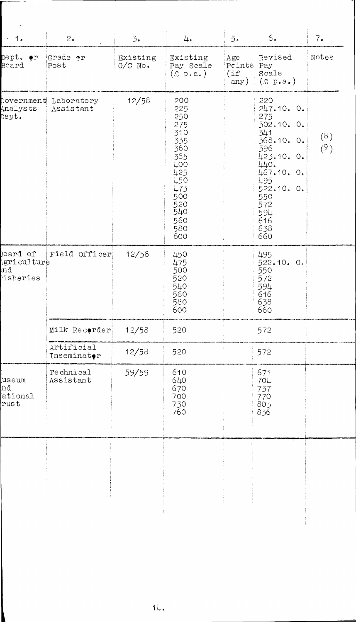| $\cdot$ 1.                                        | 2.                                 | $\mathfrak{Z}_{\bullet}$ | 4.                                                                                                                         | 5.                               | 6.                                                                                                                                                                  | 7.         |
|---------------------------------------------------|------------------------------------|--------------------------|----------------------------------------------------------------------------------------------------------------------------|----------------------------------|---------------------------------------------------------------------------------------------------------------------------------------------------------------------|------------|
| Dept. •r<br>Board                                 | Grade or<br>Post                   | Existing<br>$G/C$ No.    | Existing<br>Pay Scale<br>$(\text{\pounds p.a.})$                                                                           | Age<br>Points Pay<br>(if<br>any) | Revised<br>Scale<br>$(x \text{ p.a.})$                                                                                                                              | Notes      |
| Analysts<br>$\mathtt{Depth}$ .                    | Government Laboratory<br>Assistant | 12/58                    | 200<br>225<br>250<br>275<br>310<br>335<br>360<br>385<br>400<br>425<br>450<br>475<br>500<br>520<br>540<br>560<br>580<br>600 |                                  | 220<br>247.10.0.<br>275<br>302.10. 0.<br>341<br>368.10. 0.<br>396<br>423.10. 0.<br>440.<br>467.10. 0.<br>495<br>522.10.0.<br>550<br>572<br>594<br>616<br>638<br>660 | (8)<br>(9) |
| Board of<br><b>Agriculture</b><br>md<br>risheries | Field Officer                      | 12/58                    | 450<br>475<br>500<br>520<br>540<br>560<br>580<br>600                                                                       |                                  | 495<br>522.10. 0.<br>550<br>572<br>594<br>616<br>638<br>660                                                                                                         |            |
|                                                   | Milk Recorder                      | 12/58                    | 520                                                                                                                        |                                  | 572                                                                                                                                                                 |            |
|                                                   | Artificial<br>Inseminator          | 12/58                    | 520                                                                                                                        |                                  | 572                                                                                                                                                                 |            |
| useum<br>nđ<br>ational<br>rust                    | Technical<br>Assistant             | 59/59                    | 610<br>640<br>670<br>700<br>730<br>760                                                                                     |                                  | 671<br>704<br>737<br>770<br>803<br>836                                                                                                                              |            |
|                                                   |                                    |                          |                                                                                                                            |                                  |                                                                                                                                                                     |            |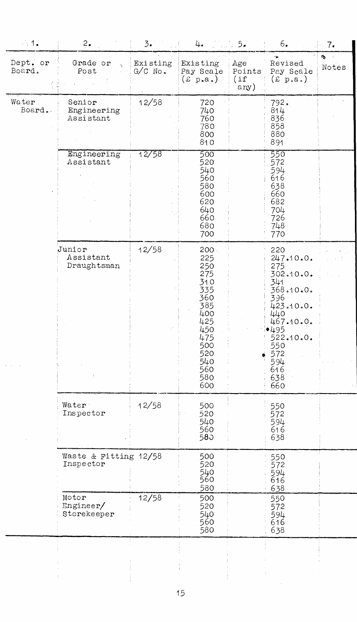| $-1.1$             | 2.                                 | 3.                    | 4.                                                                                                                             | 1. 5.                         | 6.                                                                                                                                                              | 7.                     |
|--------------------|------------------------------------|-----------------------|--------------------------------------------------------------------------------------------------------------------------------|-------------------------------|-----------------------------------------------------------------------------------------------------------------------------------------------------------------|------------------------|
| Dept. or<br>Board. | Grade or<br>Post                   | Existing<br>$G/C$ No. | Existing<br>Pay Scale<br>(x p.a.)                                                                                              | Age<br>Points<br>(if)<br>any) | ÷<br>Revised<br>Pay Scale<br>(x p.a.)                                                                                                                           | $\mathcal{L}$<br>Notes |
| Water<br>Board.    | Senior<br>Engineering<br>Assistant | 12/58                 | 720<br>740<br>760<br>780<br>800<br>810                                                                                         |                               | 792.<br>814<br>836<br>858<br>880<br>891                                                                                                                         |                        |
|                    | Engineering<br>Assistant           | 12/58                 | 500<br>520<br>540<br>560<br>580<br>600<br>620<br>640<br>660<br>680<br>700                                                      |                               | 550<br>572<br>594<br>616<br>638<br>660<br>682<br>704<br>726<br>748<br>770                                                                                       |                        |
|                    | Junior<br>Assistant<br>Draughtsman | 12/58                 | $200 -$<br>225<br>250<br>275<br>310<br>335<br>360<br>385<br>400<br>425<br>450<br>475<br>500<br>520<br>540<br>560<br>580<br>600 |                               | 220<br>247.10.0.<br>275<br>302.10.0.<br>341<br>368.10.0.<br>396<br>423.10.0.<br>440<br>467.10.0.<br>•495<br>522.10.0.<br>550<br>572<br>594<br>616<br>638<br>660 |                        |
|                    | Water<br>Inspector                 | 12/58                 | 500<br>520<br>540<br>560<br>580                                                                                                |                               | 550<br>572<br>594<br>616<br>638                                                                                                                                 |                        |
|                    | Waste & Fitting 12/58<br>Inspector |                       | 500<br>520<br>540<br>560<br>580                                                                                                |                               | 550<br>572<br>594<br>616<br>638                                                                                                                                 |                        |
|                    | Motor<br>Enginer/<br>Storekeeper   | 12/58                 | 500<br>520<br>540<br>560<br>580                                                                                                |                               | 550<br>572<br>594<br>616<br>638                                                                                                                                 |                        |
|                    |                                    |                       |                                                                                                                                |                               |                                                                                                                                                                 |                        |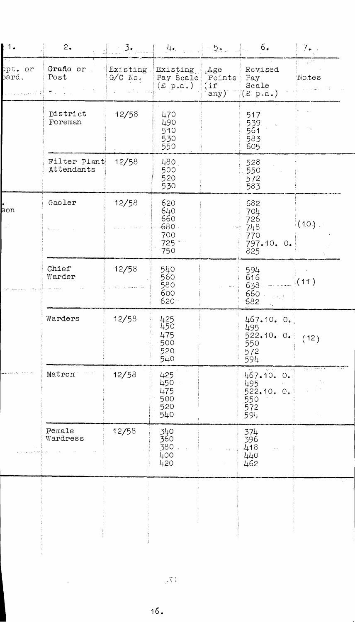| 1.                                    | 2.                         | 3.                    | 4.                                               | 5.                            | 6.                                                   | 7⊷. .    |
|---------------------------------------|----------------------------|-----------------------|--------------------------------------------------|-------------------------------|------------------------------------------------------|----------|
| ept. or<br>$\mathop{\mathrm{pard}}$ . | Grade or<br>Post<br>禁止     | Existing<br>$G/C$ No. | Existing<br>Pay Scale<br>$(\pounds \; p.a.)$     | Age.<br>Points<br>(if<br>any) | Revised<br>Pay<br>Scale<br>$(x \text{ p.a.})$        | Notes    |
|                                       | District<br>Foreman        | 12/58                 | 470<br>490<br>510<br>530<br>.550                 |                               | 517<br>539<br>561<br>583<br>605                      |          |
|                                       | Filter Plant<br>Attendants | 12/58                 | 480<br>500<br>520<br>530                         |                               | 528<br>550<br>572<br>583                             |          |
| son                                   | Gaoler                     | 12/58                 | 620<br>640<br>660<br>$-680$<br>700<br>725<br>750 |                               | 682<br>704<br>726<br>748<br>770<br>797.10.0.<br>825  | $(10)$ . |
|                                       | Chief<br>Warder            | 12/58                 | 540<br>560<br>580<br>600<br>620                  |                               | 594<br>616<br>638<br>660<br>682                      | (11)     |
|                                       | Warders                    | 12/58                 | 425<br>450<br>475<br>500<br>520<br>540           |                               | 467.10. 0.<br>495<br>522.10.0.<br>550<br>572<br>594  | (12)     |
|                                       | Matron                     | 12/58                 | 425<br>450<br>475<br>500<br>520<br>$-540$        |                               | 467.10. 0.<br>495<br>522.10. 0.<br>550<br>572<br>594 |          |
|                                       | Female<br>Wardress         | 12/58                 | 340<br>360<br>380<br>400<br>420                  |                               | 374<br>396<br>418<br>440<br>462                      |          |
|                                       |                            |                       |                                                  |                               |                                                      |          |
|                                       |                            |                       |                                                  |                               |                                                      |          |

 $\hat{\mathcal{A}}$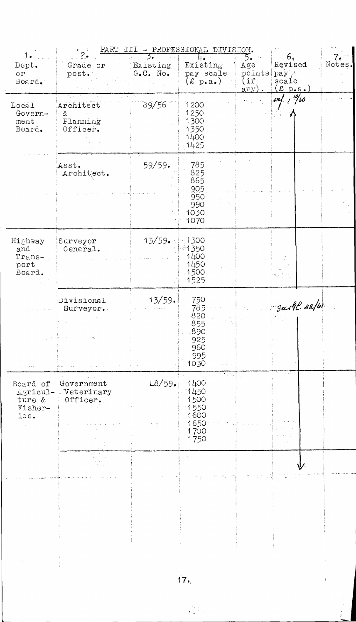| 1.                                                |                                               |                                                            | PART III - PROFESSIONAL DIVISION.                                     |                                                       |                                                                                |        |
|---------------------------------------------------|-----------------------------------------------|------------------------------------------------------------|-----------------------------------------------------------------------|-------------------------------------------------------|--------------------------------------------------------------------------------|--------|
| Dept.<br>$O^{\dagger}$<br>Board.                  | Grade or<br>post.                             | $\mathcal{D}$<br>Existing<br>$G_{\bullet} C_{\bullet}$ No. | Existing<br>pay scale<br>$(\text{\pounds p.a.})$                      | 5.<br>Age<br>points<br>$(i\hat{r})$<br>$\text{any}$ . | 6. ·<br>Revised<br>pay ><br>scale<br>$(\underline{x} p_{\bullet} a_{\bullet})$ | Notes. |
| Local<br>Govern-<br>ment<br>Board.                | N.,<br>Architect<br>&<br>Planning<br>Officer. | 89/56                                                      | 1200<br>1250<br>1300<br>1350<br>1400<br>1425                          |                                                       | $~\omega$ c/, $~/~$ 160                                                        |        |
|                                                   | Asst.<br>Architect.                           | 59/59.                                                     | 785<br>825<br>865<br>905<br>950<br>990<br>1030<br>1070                |                                                       |                                                                                |        |
| Highway<br>and<br>Trans-<br>port<br>Board.        | Surveyor<br>General.                          | 13/59.5                                                    | $-1300$<br>1350<br>1400<br>1450<br>1500<br>1525                       |                                                       |                                                                                |        |
|                                                   | Divisional<br>Surveyor.                       | 13/59.                                                     | 750<br>785<br>820<br>855<br>890<br>925<br>960<br>995<br>1030          |                                                       | Subl. 42/61.                                                                   |        |
| Board of<br>Agricul-<br>ture &<br>Fisher-<br>ies. | Government<br>Veterinary<br>Officer.          | 48/59.                                                     | A. S.<br>1400<br>1450<br>1500<br>1550<br>1600<br>1650<br>1700<br>1750 |                                                       |                                                                                |        |
|                                                   |                                               |                                                            |                                                                       |                                                       |                                                                                |        |
|                                                   |                                               |                                                            |                                                                       |                                                       |                                                                                |        |

 $17.$ 

 $\frac{1}{3}$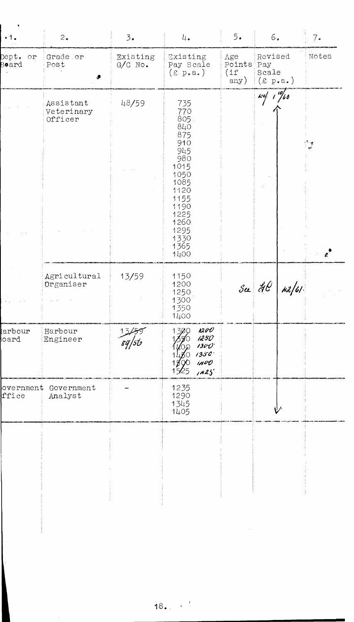| Grade or<br>Existing<br>Existing<br>Revised<br>Våe<br>$\circ r$<br>$G/C$ No.<br>Points<br>Pay Scale<br>Post<br>Pay<br>(if)<br>$(E \text{ p.a.})$<br>Scale<br>$(x \text{ p.a.})$<br>any)<br>$\frac{1}{2}$ $\frac{1}{2}$ $\frac{1}{2}$ $\frac{1}{2}$ $\frac{1}{2}$ $\frac{1}{2}$ $\frac{1}{2}$<br>48/59<br>735<br>Assistant<br>770<br>Veterinary<br>805<br>Officer<br>840<br>875<br>910<br>$\frac{1}{2}$<br>945<br>980<br>1015<br>1050<br>1085<br>1120<br>1155<br>1190<br>1225<br>1260<br>1295<br>1330<br>1365<br>1400<br>13/59<br>Agricultural<br>1150<br>See $\frac{d}{d\ell}$ $n\frac{d}{d\ell}$<br>Organiser<br>1200<br>1250<br>1300<br>1350<br>1400<br>1200<br>Harbour<br>1300<br>1250<br>Engineer<br>1300<br>$1350^{\circ}$<br>$i$ HUO<br>QO<br>1525<br>1425'<br>1235<br>Government<br>1290<br>Analyst<br>1345<br>1405 | $\cdot 1$ .    | 2. | 3.5 | 4. | 5. | $6\,$ . | $7\cdot$ |
|----------------------------------------------------------------------------------------------------------------------------------------------------------------------------------------------------------------------------------------------------------------------------------------------------------------------------------------------------------------------------------------------------------------------------------------------------------------------------------------------------------------------------------------------------------------------------------------------------------------------------------------------------------------------------------------------------------------------------------------------------------------------------------------------------------------------------|----------------|----|-----|----|----|---------|----------|
|                                                                                                                                                                                                                                                                                                                                                                                                                                                                                                                                                                                                                                                                                                                                                                                                                            | Dept.<br>Board |    |     |    |    |         | Notes    |
| arbour)<br>oard<br>overnment<br>ffice                                                                                                                                                                                                                                                                                                                                                                                                                                                                                                                                                                                                                                                                                                                                                                                      |                |    |     |    |    |         |          |
|                                                                                                                                                                                                                                                                                                                                                                                                                                                                                                                                                                                                                                                                                                                                                                                                                            |                |    |     |    |    |         |          |
|                                                                                                                                                                                                                                                                                                                                                                                                                                                                                                                                                                                                                                                                                                                                                                                                                            |                |    |     |    |    |         |          |
|                                                                                                                                                                                                                                                                                                                                                                                                                                                                                                                                                                                                                                                                                                                                                                                                                            |                |    |     |    |    |         |          |
|                                                                                                                                                                                                                                                                                                                                                                                                                                                                                                                                                                                                                                                                                                                                                                                                                            |                |    |     |    |    |         |          |
|                                                                                                                                                                                                                                                                                                                                                                                                                                                                                                                                                                                                                                                                                                                                                                                                                            |                |    |     |    |    |         |          |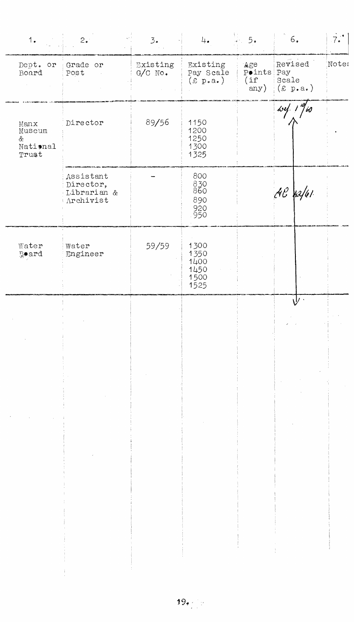| 1.                                       | $2 \cdot$                                          | 3.                    | 4.                                           | $\frac{1}{2}$ 5.                  | $6. \,$                                  | $\vec{7} \cdot$ |
|------------------------------------------|----------------------------------------------------|-----------------------|----------------------------------------------|-----------------------------------|------------------------------------------|-----------------|
| Dept. or<br>Board                        | Grade or<br>Post                                   | Existing<br>$G/C$ No. | Fxisting<br>Pay Scale<br>$(E \ p.a.)$        | Age<br>Points Pay<br>(if)<br>any) | Revised<br>Scale<br>$(\epsilon \; p.a.)$ | Noter           |
| Manx<br>Museum<br>&<br>National<br>Trust | Director                                           | 89/56                 | 1150<br>1200<br>1250<br>1300<br>1325         |                                   | 10                                       |                 |
|                                          | Assistant<br>Director,<br>Librarian &<br>Archivist |                       | 800<br>830<br>860<br>890<br>920<br>950       |                                   | $AC$ $h2/61$                             |                 |
| Water<br>Board                           | Water<br>Engineer                                  | 59/59                 | 1300<br>1350<br>1400<br>1450<br>1500<br>1525 |                                   |                                          |                 |
|                                          |                                                    |                       |                                              |                                   | $\hat{\mathsf{V}}$                       |                 |